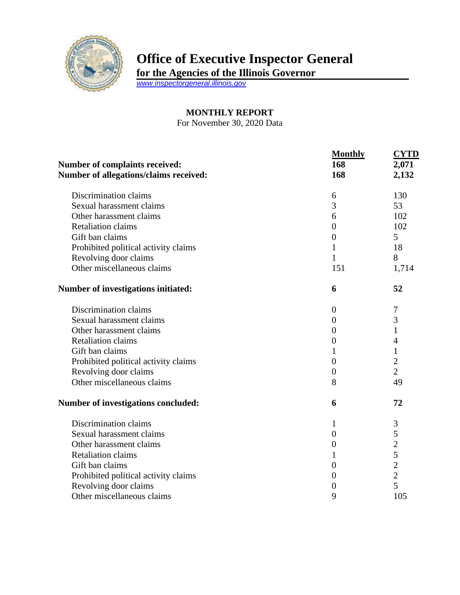

## **Office of Executive Inspector General**

**for the Agencies of the Illinois Governor**

*[www.inspectorgeneral.illinois.gov](http://www.inspectorgeneral.illinois.gov/)*

## **MONTHLY REPORT**

For November 30, 2020 Data

|                                                                                 | <b>Monthly</b>   | <b>CYTD</b>    |
|---------------------------------------------------------------------------------|------------------|----------------|
| <b>Number of complaints received:</b><br>Number of allegations/claims received: | 168              | 2,071<br>2,132 |
|                                                                                 | 168              |                |
| Discrimination claims                                                           | 6                | 130            |
| Sexual harassment claims                                                        | 3                | 53             |
| Other harassment claims                                                         | 6                | 102            |
| <b>Retaliation claims</b>                                                       | $\overline{0}$   | 102            |
| Gift ban claims                                                                 | $\boldsymbol{0}$ | 5              |
| Prohibited political activity claims                                            | 1                | 18             |
| Revolving door claims                                                           | $\mathbf{1}$     | 8              |
| Other miscellaneous claims                                                      | 151              | 1,714          |
| Number of investigations initiated:                                             | 6                | 52             |
| Discrimination claims                                                           | $\theta$         | 7              |
| Sexual harassment claims                                                        | $\theta$         | 3              |
| Other harassment claims                                                         | $\theta$         | 1              |
| <b>Retaliation claims</b>                                                       | $\overline{0}$   | 4              |
| Gift ban claims                                                                 | 1                | 1              |
| Prohibited political activity claims                                            | $\boldsymbol{0}$ | $\overline{c}$ |
| Revolving door claims                                                           | $\overline{0}$   | $\overline{2}$ |
| Other miscellaneous claims                                                      | 8                | 49             |
| Number of investigations concluded:                                             | 6                | 72             |
| Discrimination claims                                                           | 1                | 3              |
| Sexual harassment claims                                                        | $\theta$         | 5              |
| Other harassment claims                                                         | $\boldsymbol{0}$ | $\overline{2}$ |
| <b>Retaliation claims</b>                                                       | 1                | 5              |
| Gift ban claims                                                                 | $\boldsymbol{0}$ | $\overline{2}$ |
| Prohibited political activity claims                                            | $\boldsymbol{0}$ | $\overline{2}$ |
| Revolving door claims                                                           | $\theta$         | 5              |
| Other miscellaneous claims                                                      | 9                | 105            |
|                                                                                 |                  |                |